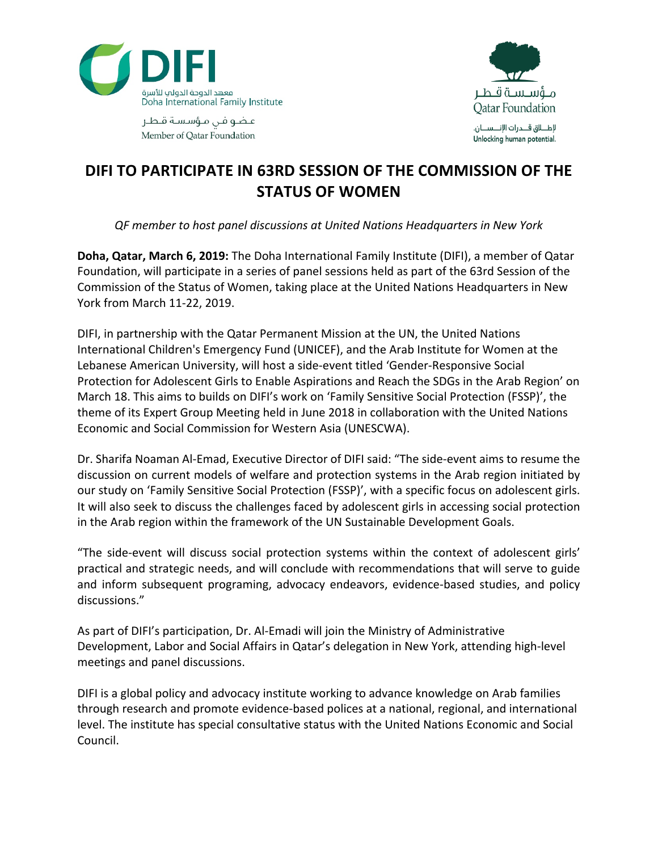

مـــؤســـســة قـــطــر **Qatar Foundation** لإطـــالق قــــدرات الإنــــســــان. Unlocking human potential.

عاضو فن مؤسسة قاطع Member of Oatar Foundation

## **DIFI TO PARTICIPATE IN 63RD SESSION OF THE COMMISSION OF THE STATUS OF WOMEN**

*QF member to host panel discussions at United Nations Headquarters in New York*

**Doha, Qatar, March 6, 2019:** The Doha International Family Institute (DIFI), a member of Qatar Foundation, will participate in a series of panel sessions held as part of the 63rd Session of the Commission of the Status of Women, taking place at the United Nations Headquarters in New York from March 11-22, 2019.

DIFI, in partnership with the Qatar Permanent Mission at the UN, the United Nations International Children's Emergency Fund (UNICEF), and the Arab Institute for Women at the Lebanese American University, will host a side-event titled 'Gender-Responsive Social Protection for Adolescent Girls to Enable Aspirations and Reach the SDGs in the Arab Region' on March 18. This aims to builds on DIFI's work on 'Family Sensitive Social Protection (FSSP)', the theme of its Expert Group Meeting held in June 2018 in collaboration with the United Nations Economic and Social Commission for Western Asia (UNESCWA).

Dr. Sharifa Noaman Al-Emad, Executive Director of DIFI said: "The side-event aims to resume the discussion on current models of welfare and protection systems in the Arab region initiated by our study on 'Family Sensitive Social Protection (FSSP)', with a specific focus on adolescent girls. It will also seek to discuss the challenges faced by adolescent girls in accessing social protection in the Arab region within the framework of the UN Sustainable Development Goals.

"The side-event will discuss social protection systems within the context of adolescent girls' practical and strategic needs, and will conclude with recommendations that will serve to guide and inform subsequent programing, advocacy endeavors, evidence-based studies, and policy discussions."

As part of DIFI's participation, Dr. Al-Emadi will join the Ministry of Administrative Development, Labor and Social Affairs in Qatar's delegation in New York, attending high-level meetings and panel discussions.

DIFI is a global policy and advocacy institute working to advance knowledge on Arab families through research and promote evidence-based polices at a national, regional, and international level. The institute has special consultative status with the United Nations Economic and Social Council.